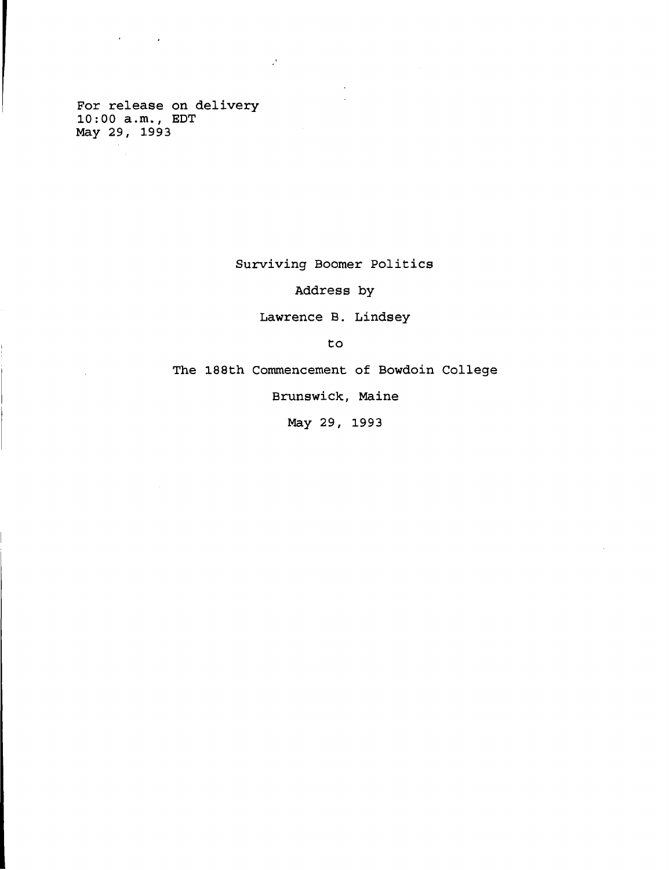**For release on delivery 10 : 00 a.m., EDT May 29, 1993**

 $\sigma_{\rm{max}}=1000$ 

 $\mathbb{R}^2$ 

**Surviving Boomer Politics**

 $\mathcal{L}^{\text{max}}$ 

**Address by**

**Lawrence B. Lindsey**

**to**

**The 188th Commencement of Bowdoin College**

**Brunswick, Maine**

**May 29, 1993**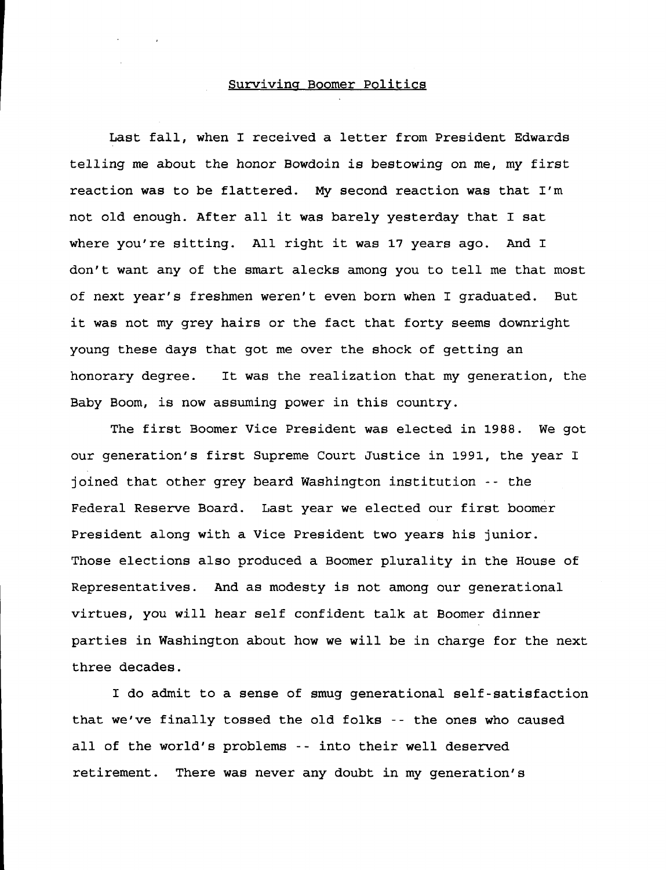## **Surviving Boomer Politics**

**Last fall, when I received a letter from President Edwards telling me about the honor Bowdoin is bestowing on me, my first reaction was to be flattered. My second reaction was that I'm not old enough. After all it was barely yesterday that I sat where you're sitting. All right it was 17 years ago. And I don't want any of the smart alecks among you to tell me that most of next year's freshmen weren't even born when I graduated. But it was not my grey hairs or the fact that forty seems downright young these days that got me over the shock of getting an honorary degree. It was the realization that my generation, the Baby Boom, is now assuming power in this country.**

**The first Boomer Vice President was elected in 1988. We got our generation's first Supreme Court Justice in 1991, the year I joined that other grey beard Washington institution -- the Federal Reserve Board. Last year we elected our first boomer President along with a Vice President two years his junior. Those elections also produced a Boomer plurality in the House of Representatives. And as modesty is not among our generational virtues, you will hear self confident talk at Boomer dinner parties in Washington about how we will be in charge for the next three decades.**

**I do admit to a sense of smug generational self-satisfaction that we've finally tossed the old folks -- the ones who caused all of the world's problems -- into their well deserved retirement. There was never any doubt in my generation's**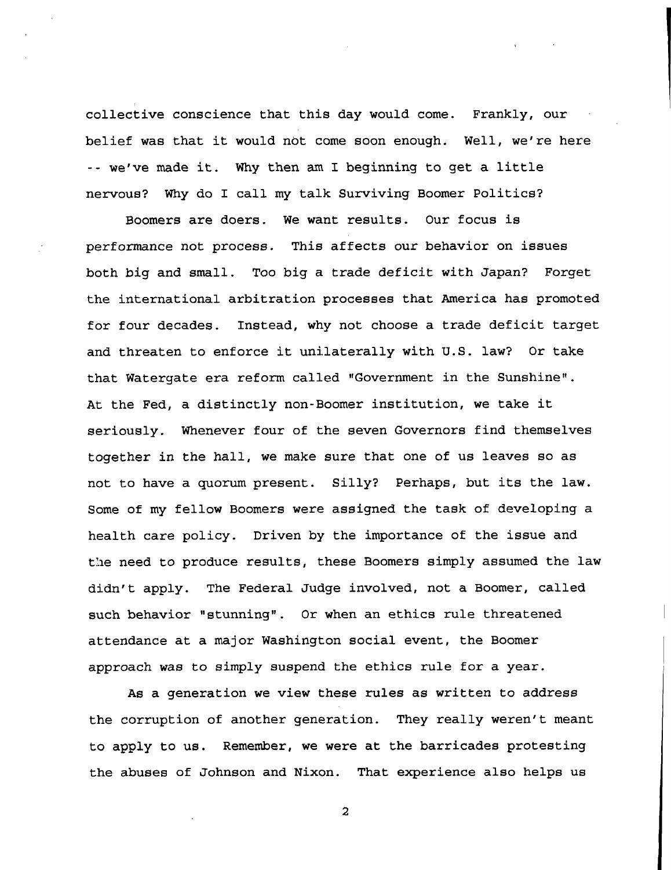**collective conscience that this day would come. Frankly, our belief was that it would not come soon enough. Well, we're here -- we've made it. Why then am I beginning to get a little nervous? Why do I call my talk Surviving Boomer Politics?**

**Boomers are doers. We want results. Our focus is performance not process. This affects our behavior on issues both big and small. Too big a trade deficit with Japan? Forget the international arbitration processes that America has promoted for four decades. Instead, why not choose a trade deficit target and threaten to enforce it unilaterally with U.S. law? Or take that Watergate era reform called "Government in the Sunshine". At the Fed, a distinctly non-Boomer institution, we take it seriously. Whenever four of the seven Governors find themselves together in the hall, we make sure that one of us leaves so as not to have a quorum present. Silly? Perhaps, but its the law. Some of my fellow Boomers were assigned the task of developing a health care policy. Driven by the importance of the issue and the need to produce results, these Boomers simply assumed the law didn't apply. The Federal Judge involved, not a Boomer, called such behavior "stunning". Or when an ethics rule threatened attendance at a major Washington social event, the Boomer approach was to simply suspend the ethics rule for a year.**

**As a generation we view these rules as written to address the corruption of another generation. They really weren't meant to apply to us. Remember, we were at the barricades protesting the abuses of Johnson and Nixon. That experience also helps us**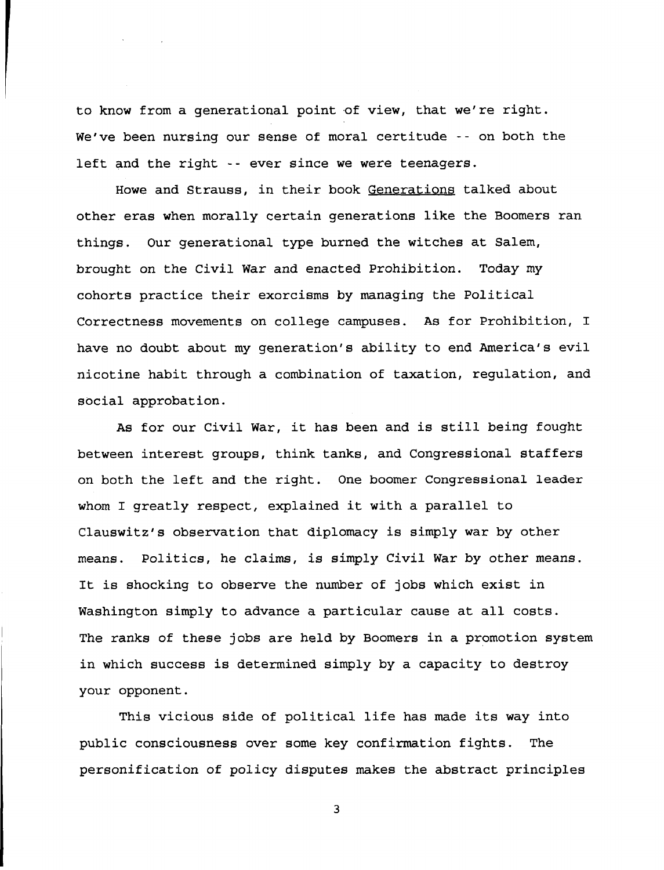**to know from a generational point of view, that we're right. We've been nursing our sense of moral certitude --on both the left and the right -- ever since we were teenagers.**

**Howe and Strauss, in their book Generations talked about other eras when morally certain generations like the Boomers ran things. Our generational type burned the witches at Salem, brought on the Civil War and enacted Prohibition. Today my cohorts practice their exorcisms by managing the Political Correctness movements on college campuses. As for Prohibition, I have no doubt about my generation's ability to end America's evil nicotine habit through a combination of taxation, regulation, and social approbation.**

**As for our Civil War, it has been and is still being fought between interest groups, think tanks, and Congressional staffers on both the left and the right. One boomer Congressional leader whom I greatly respect, explained it with a parallel to Clauswitz's observation that diplomacy is simply war by other means. Politics, he claims, is simply Civil War by other means. It is shocking to observe the number of jobs which exist in Washington simply to advance a particular cause at all costs. The ranks of these jobs are held by Boomers in a promotion system in which success is determined simply by a capacity to destroy your opponent.**

**This vicious side of political life has made its way into public consciousness over some key confirmation fights. The personification of policy disputes makes the abstract principles**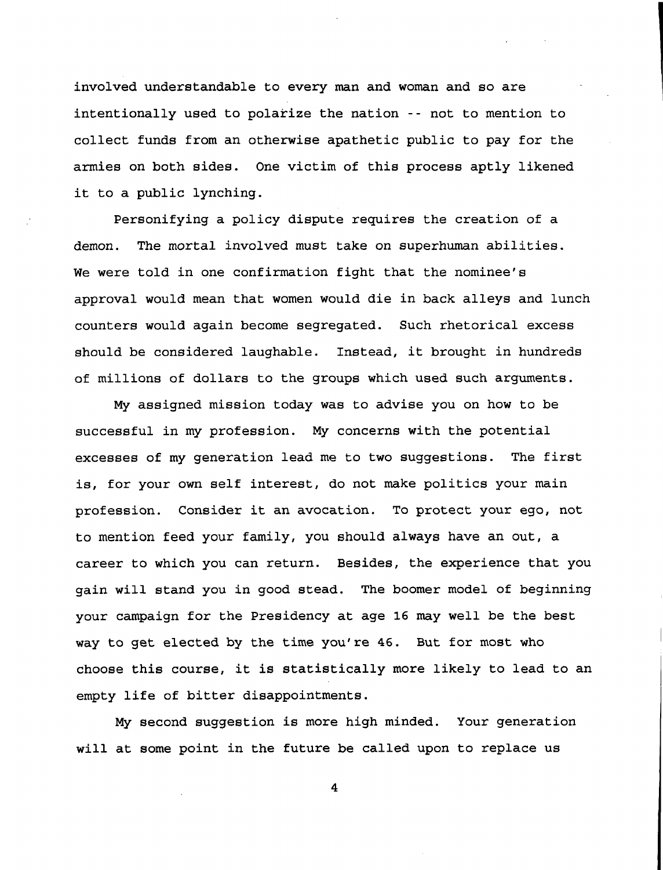**involved understandable to every man and woman and so are intentionally used to polarize the nation - - not to mention to collect funds from an otherwise apathetic public to pay for the armies on both sides. One victim of this process aptly likened it to a public lynching.**

**Personifying a policy dispute requires the creation of a demon. The mortal involved must take on superhuman abilities. We were told in one confirmation fight that the nominee's approval would mean that women would die in back alleys and lunch counters would again become segregated. Such rhetorical excess should be considered laughable. Instead, it brought in hundreds of millions of dollars to the groups which used such arguments.**

**My assigned mission today was to advise you on how to be successful in my profession. My concerns with the potential excesses of my generation lead me to two suggestions. The first is, for your own self interest, do not make politics your main profession. Consider it an avocation. To protect your ego, not to mention feed your family, you should always have an out, a career to which you can return. Besides, the experience that you gain will stand you in good stead. The boomer model of beginning your campaign for the Presidency at age 16 may well be the best way to get elected by the time you're 46. But for most who choose this course, it is statistically more likely to lead to an empty life of bitter disappointments.**

**My second suggestion is more high minded. Your generation will at some point in the future be called upon to replace us**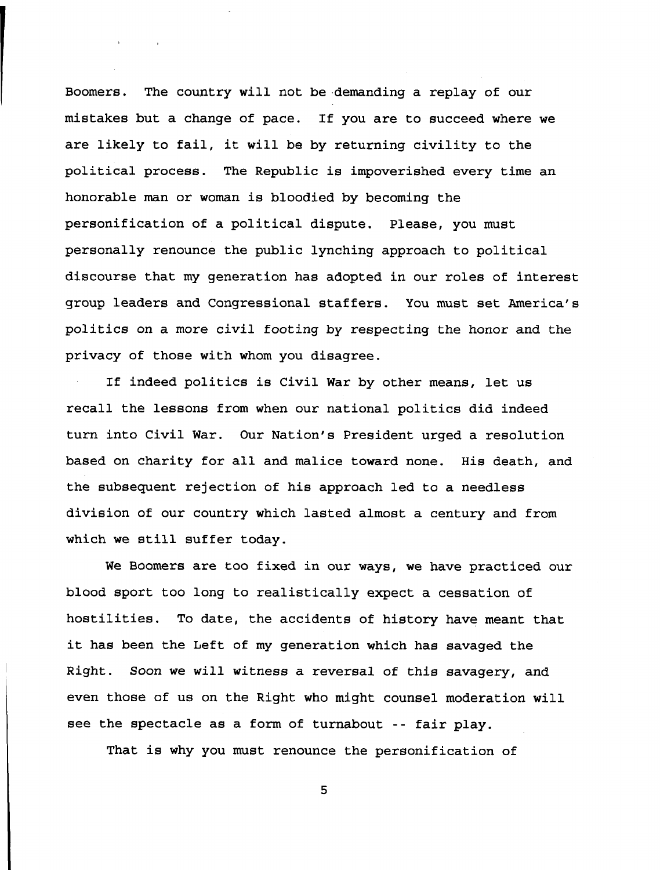**Boomers. The country will not be demanding a replay of our mistakes but a change of pace. If you are to succeed where we are likely to fail, it will be by returning civility to the political process. The Republic is impoverished every time an honorable man or woman is bloodied by becoming the personification of a political dispute. Please, you must personally renounce the public lynching approach to political discourse that my generation has adopted in our roles of interest group leaders and Congressional staffers. You must set America's politics on a more civil footing by respecting the honor and the privacy of those with whom you disagree.**

 $\mathbf{r}$ 

**If indeed politics is Civil War by other means, let us recall the lessons from when our national politics did indeed turn into Civil War. Our Nation's President urged a resolution based on charity for all and malice toward none. His death, and the subsequent rejection of his approach led to a needless division of our country which lasted almost a century and from which we still suffer today.**

**We Boomers are too fixed in our ways, we have practiced our blood sport too long to realistically expect a cessation of hostilities. To date, the accidents of history have meant that it has been the Left of my generation which has savaged the Right. Soon we will witness a reversal of this savagery, and even those of us on the Right who might counsel moderation will see the spectacle as a form of turnabout -- fair play.**

**That is why you must renounce the personification of**